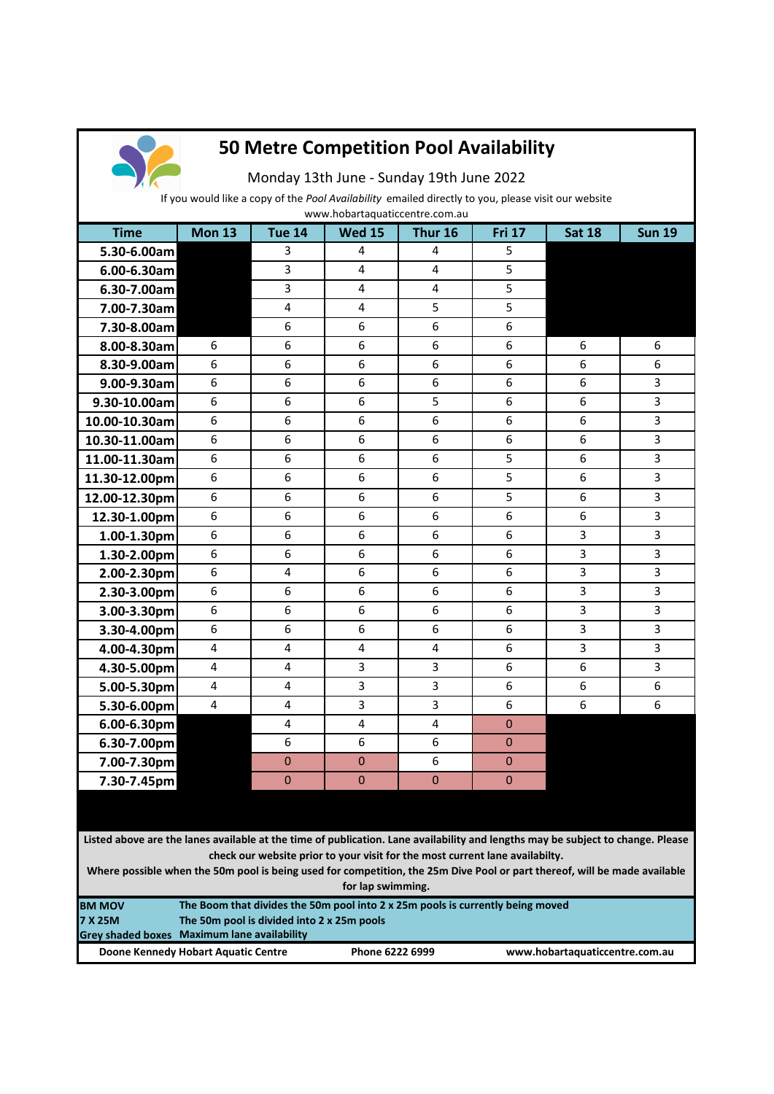

## **50 Metre Competition Pool Availability**

Monday 13th June - Sunday 19th June 2022

If you would like a copy of the *Pool Availability* emailed directly to you, please visit our website

**Time Mon 13 Tue 14 Wed 15 Thur 16 Fri 17 Sat 18 Sun 19 5.30-6.00am** 3 4 4 4 5 **6.00-6.30am** 3 4 4 5 **6.30-7.00am** 3 3 4 4 4 5 **7.00-7.30am** 4 4 4 4 5 5 5 **7.30-8.00am** 6 6 6 6 6 6 6 **8.00-8.30am** 6 6 6 6 6 6 6 6 6 6 **8.30-9.00am** 6 6 6 6 6 6 6 6 6 6 **9.00-9.30am** 6 6 6 6 6 6 6 6 6 3 **9.30-10.00am** 6 6 6 6 6 5 6 6 3 **10.00-10.30am** 6 6 6 6 6 6 6 6 6 3 **10.30-11.00am** 6 6 6 6 6 6 6 6 5 3 **11.00-11.30am** 6 6 6 6 6 6 5 6 3 **11.30-12.00pm** 6 6 6 6 6 6 5 6 3 **12.00-12.30pm** 6 6 6 6 6 6 6 6 5 6 3 **12.30-1.00pm** 6 6 6 6 6 6 6 6 6 3 **1.00-1.30pm** 6 6 6 6 6 6 6 3 3 **1.30-2.00pm** 6 6 6 6 6 6 6 3 3 **2.00-2.30pm** 6 4 6 6 6 6 3 **2.30-3.00pm** 6 6 6 6 6 6 6 3 3 **3.00-3.30pm** 6 6 6 6 6 6 6 3 3 **3.30-4.00pm** 6 6 6 6 6 6 6 3 3 **4.00-4.30pm** 4 4 4 4 4 4 6 3 3 **4.30-5.00pm** 4 4 4 3 3 5 4 5 6 5 3 **5.00-5.30pm** 4 4 4 3 3 6 6 6 **5.30-6.00pm** 4 4 4 3 3 6 6 6 **6.00-6.30pm** 4 4 4 4 0 **6.30-7.00pm** 6 6 6 6 6 0 0 **7.00-7.30pm** 0 0 0 0 6 0 **7.30-7.45pm** 0 0 0 0 0 0 0 www.hobartaquaticcentre.com.au

**Listed above are the lanes available at the time of publication. Lane availability and lengths may be subject to change. Please check our website prior to your visit for the most current lane availabilty.** 

**Where possible when the 50m pool is being used for competition, the 25m Dive Pool or part thereof, will be made available for lap swimming.**

| <b>BM MOV</b>  | The Boom that divides the 50m pool into 2 x 25m pools is currently being moved |                 |                                |  |  |  |
|----------------|--------------------------------------------------------------------------------|-----------------|--------------------------------|--|--|--|
| <b>7 X 25M</b> | The 50m pool is divided into 2 x 25m pools                                     |                 |                                |  |  |  |
|                | Grey shaded boxes Maximum lane availability                                    |                 |                                |  |  |  |
|                | Doone Kennedy Hobart Aquatic Centre                                            | Phone 6222 6999 | www.hobartaquaticcentre.com.au |  |  |  |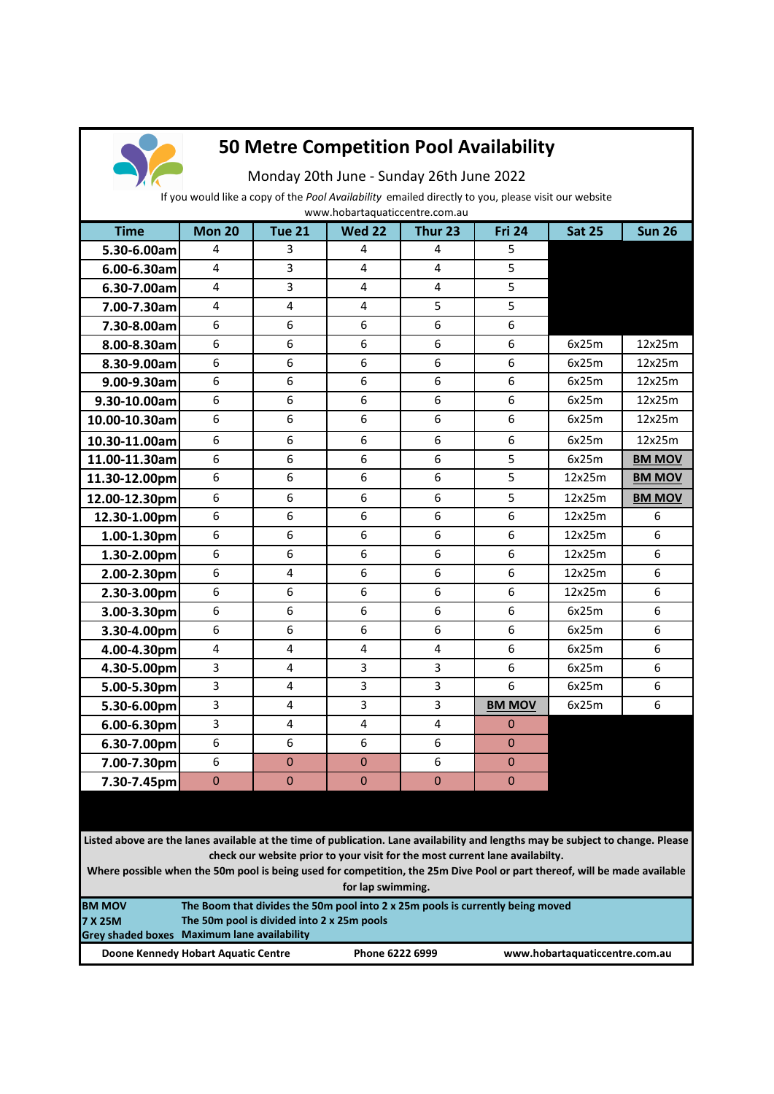

## **50 Metre Competition Pool Availability**

Monday 20th June - Sunday 26th June 2022

If you would like a copy of the *Pool Availability* emailed directly to you, please visit our website

| www.hobartaquaticcentre.com.au |               |                         |               |           |                |               |               |
|--------------------------------|---------------|-------------------------|---------------|-----------|----------------|---------------|---------------|
| <b>Time</b>                    | <b>Mon 20</b> | <b>Tue 21</b>           | <b>Wed 22</b> | Thur 23   | <b>Fri 24</b>  | <b>Sat 25</b> | <b>Sun 26</b> |
| 5.30-6.00am                    | 4             | 3                       | 4             | 4         | 5              |               |               |
| 6.00-6.30am                    | 4             | 3                       | 4             | 4         | 5              |               |               |
| 6.30-7.00am                    | 4             | 3                       | 4             | 4         | 5              |               |               |
| 7.00-7.30am                    | 4             | $\overline{\mathbf{4}}$ | 4             | 5         | 5              |               |               |
| 7.30-8.00am                    | 6             | 6                       | 6             | 6         | 6              |               |               |
| 8.00-8.30am                    | 6             | 6                       | 6             | 6         | 6              | 6x25m         | 12x25m        |
| 8.30-9.00am                    | 6             | 6                       | 6             | 6         | 6              | 6x25m         | 12x25m        |
| 9.00-9.30am                    | 6             | 6                       | 6             | 6         | 6              | 6x25m         | 12x25m        |
| 9.30-10.00am                   | 6             | 6                       | 6             | 6         | 6              | 6x25m         | 12x25m        |
| 10.00-10.30am                  | 6             | 6                       | 6             | 6         | 6              | 6x25m         | 12x25m        |
| 10.30-11.00am                  | 6             | 6                       | 6             | 6         | 6              | 6x25m         | 12x25m        |
| 11.00-11.30am                  | 6             | 6                       | 6             | 6         | 5              | 6x25m         | <b>BM MOV</b> |
| 11.30-12.00pm                  | 6             | 6                       | 6             | 6         | 5              | 12x25m        | <b>BM MOV</b> |
| 12.00-12.30pm                  | 6             | 6                       | 6             | 6         | 5              | 12x25m        | <b>BM MOV</b> |
| 12.30-1.00pm                   | 6             | 6                       | 6             | 6         | 6              | 12x25m        | 6             |
| 1.00-1.30pm                    | 6             | 6                       | 6             | 6         | 6              | 12x25m        | 6             |
| 1.30-2.00pm                    | 6             | 6                       | 6             | 6         | 6              | 12x25m        | 6             |
| 2.00-2.30pm                    | 6             | $\overline{\mathbf{4}}$ | 6             | 6         | 6              | 12x25m        | 6             |
| 2.30-3.00pm                    | 6             | 6                       | 6             | 6         | 6              | 12x25m        | 6             |
| 3.00-3.30pm                    | 6             | 6                       | 6             | 6         | 6              | 6x25m         | 6             |
| 3.30-4.00pm                    | 6             | 6                       | 6             | 6         | 6              | 6x25m         | 6             |
| 4.00-4.30pm                    | 4             | 4                       | 4             | 4         | 6              | 6x25m         | 6             |
| 4.30-5.00pm                    | 3             | $\overline{4}$          | 3             | 3         | 6              | 6x25m         | 6             |
| 5.00-5.30pm                    | 3             | 4                       | 3             | 3         | 6              | 6x25m         | 6             |
| 5.30-6.00pm                    | 3             | 4                       | 3             | 3         | <b>BM MOV</b>  | 6x25m         | 6             |
| 6.00-6.30pm                    | 3             | 4                       | 4             | 4         | $\overline{0}$ |               |               |
| 6.30-7.00pm                    | 6             | 6                       | 6             | 6         | $\mathbf{0}$   |               |               |
| 7.00-7.30pm                    | 6             | $\mathbf{0}$            | 0             | 6         | $\mathbf 0$    |               |               |
| 7.30-7.45pm                    | $\pmb{0}$     | $\mathbf 0$             | $\mathbf{0}$  | $\pmb{0}$ | $\bf 0$        |               |               |
|                                |               |                         |               |           |                |               |               |

**Listed above are the lanes available at the time of publication. Lane availability and lengths may be subject to change. Please check our website prior to your visit for the most current lane availabilty.** 

**Where possible when the 50m pool is being used for competition, the 25m Dive Pool or part thereof, will be made available for lap swimming.**

| <b>BM MOV</b> | The Boom that divides the 50m pool into 2 x 25m pools is currently being moved |                 |                                |  |  |  |
|---------------|--------------------------------------------------------------------------------|-----------------|--------------------------------|--|--|--|
| 7 X 25M       | The 50m pool is divided into 2 x 25m pools                                     |                 |                                |  |  |  |
|               | Grey shaded boxes Maximum lane availability                                    |                 |                                |  |  |  |
|               | Doone Kennedy Hobart Aquatic Centre                                            | Phone 6222 6999 | www.hobartaquaticcentre.com.au |  |  |  |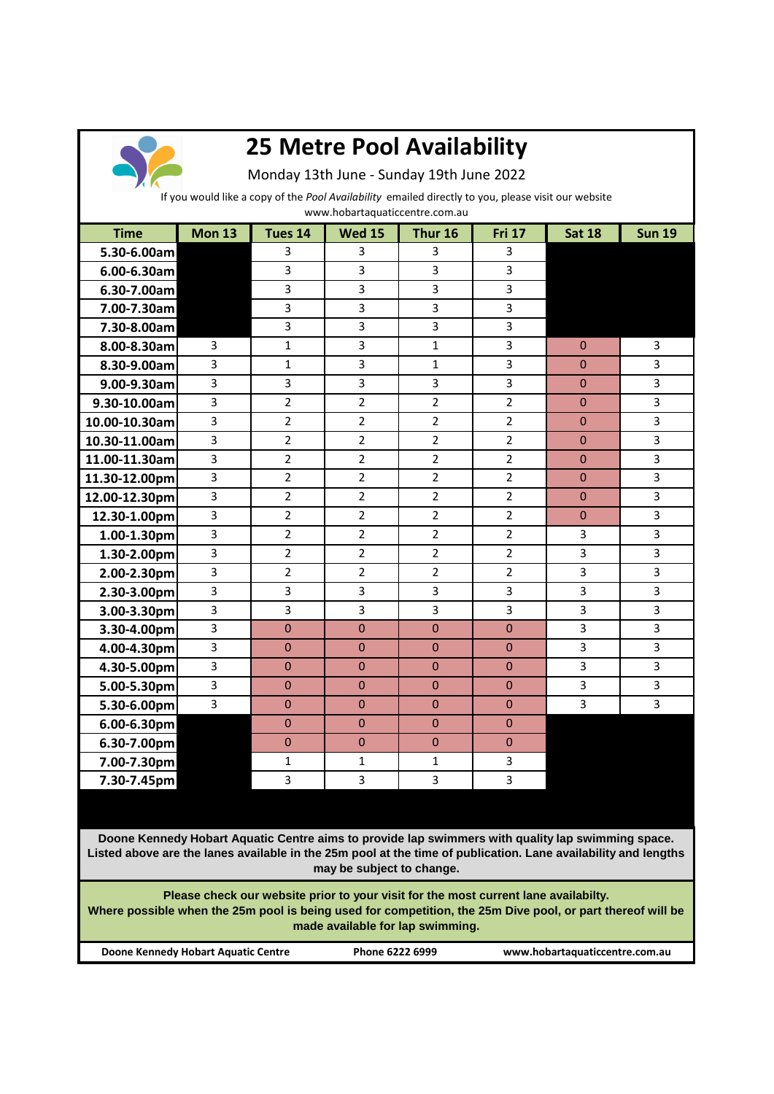

## **25 Metre Pool Availability**

Monday 13th June - Sunday 19th June 2022

If you would like a copy of the *Pool Availability* emailed directly to you, please visit our website

www.hobartaquaticcentre.com.au

| <b>Time</b>                                                                                                                                                                                                                                      | <b>Mon 13</b>  | Tues 14        | <b>Wed 15</b>  | Thur 16        | <b>Fri 17</b>  | <b>Sat 18</b> | <b>Sun 19</b> |
|--------------------------------------------------------------------------------------------------------------------------------------------------------------------------------------------------------------------------------------------------|----------------|----------------|----------------|----------------|----------------|---------------|---------------|
| 5.30-6.00am                                                                                                                                                                                                                                      |                | 3              | 3              | 3              | 3              |               |               |
| $6.00 - 6.30$ am                                                                                                                                                                                                                                 |                | 3              | 3              | 3              | 3              |               |               |
| 6.30-7.00am                                                                                                                                                                                                                                      |                | 3              | 3              | 3              | 3              |               |               |
| 7.00-7.30am                                                                                                                                                                                                                                      |                | 3              | 3              | 3              | 3              |               |               |
| 7.30-8.00am                                                                                                                                                                                                                                      |                | 3              | 3              | 3              | 3              |               |               |
| 8.00-8.30am                                                                                                                                                                                                                                      | 3              | 1              | 3              | $\mathbf{1}$   | 3              | $\Omega$      | 3             |
| 8.30-9.00am                                                                                                                                                                                                                                      | 3              | $\mathbf{1}$   | 3              | $\mathbf{1}$   | 3              | $\mathbf{0}$  | 3             |
| 9.00-9.30am                                                                                                                                                                                                                                      | $\overline{3}$ | $\overline{3}$ | 3              | 3              | 3              | $\mathbf 0$   | 3             |
| 9.30-10.00am                                                                                                                                                                                                                                     | 3              | $\overline{2}$ | $\overline{2}$ | $\overline{2}$ | $\overline{2}$ | $\mathbf{0}$  | 3             |
| 10.00-10.30am                                                                                                                                                                                                                                    | 3              | $\overline{2}$ | $\overline{2}$ | $\overline{2}$ | $\overline{2}$ | $\mathbf{0}$  | 3             |
| 10.30-11.00am                                                                                                                                                                                                                                    | 3              | $\overline{2}$ | $\overline{2}$ | $\overline{2}$ | $\overline{2}$ | $\mathbf{0}$  | 3             |
| 11.00-11.30am                                                                                                                                                                                                                                    | 3              | $\overline{2}$ | $\overline{2}$ | $\overline{2}$ | $\overline{2}$ | $\mathbf{0}$  | 3             |
| 11.30-12.00pm                                                                                                                                                                                                                                    | 3              | $\overline{2}$ | $\overline{2}$ | $\overline{2}$ | $\overline{2}$ | $\Omega$      | 3             |
| 12.00-12.30pm                                                                                                                                                                                                                                    | 3              | $\overline{2}$ | $\overline{2}$ | $\overline{2}$ | $\overline{2}$ | $\mathbf{0}$  | 3             |
| 12.30-1.00pm                                                                                                                                                                                                                                     | $\overline{3}$ | $\overline{2}$ | $\overline{2}$ | $\overline{2}$ | $\overline{2}$ | $\mathbf 0$   | 3             |
| $1.00 - 1.30$ pm                                                                                                                                                                                                                                 | 3              | $\overline{2}$ | $\overline{2}$ | $\overline{2}$ | $\overline{2}$ | 3             | 3             |
| 1.30-2.00pm                                                                                                                                                                                                                                      | 3              | $\overline{2}$ | $\overline{2}$ | $\overline{2}$ | $\overline{2}$ | 3             | 3             |
| 2.00-2.30pm                                                                                                                                                                                                                                      | 3              | $\overline{2}$ | $\overline{2}$ | $\overline{2}$ | 2              | 3             | 3             |
| 2.30-3.00pm                                                                                                                                                                                                                                      | 3              | 3              | 3              | 3              | 3              | 3             | 3             |
| 3.00-3.30pm                                                                                                                                                                                                                                      | 3              | 3              | 3              | 3              | 3              | 3             | 3             |
| 3.30-4.00pm                                                                                                                                                                                                                                      | 3              | $\mathbf{0}$   | $\bf 0$        | $\pmb{0}$      | $\pmb{0}$      | 3             | 3             |
| 4.00-4.30pm                                                                                                                                                                                                                                      | 3              | $\mathbf 0$    | $\mathbf{0}$   | $\mathbf{0}$   | $\mathbf{0}$   | 3             | 3             |
| 4.30-5.00pm                                                                                                                                                                                                                                      | 3              | 0              | $\mathbf{0}$   | $\mathbf{0}$   | $\mathbf{0}$   | 3             | 3             |
| 5.00-5.30pm                                                                                                                                                                                                                                      | 3              | $\mathbf{0}$   | $\bf 0$        | $\mathbf{0}$   | $\pmb{0}$      | 3             | 3             |
| 5.30-6.00pm                                                                                                                                                                                                                                      | 3              | $\overline{0}$ | $\overline{0}$ | $\mathbf{0}$   | $\mathbf{0}$   | 3             | 3             |
| $6.00 - 6.30$ pm                                                                                                                                                                                                                                 |                | $\mathbf{0}$   | $\bf 0$        | $\mathbf{0}$   | $\mathbf 0$    |               |               |
| 6.30-7.00pm                                                                                                                                                                                                                                      |                | $\mathbf 0$    | $\mathbf 0$    | $\mathbf 0$    | $\mathbf{0}$   |               |               |
| 7.00-7.30pm                                                                                                                                                                                                                                      |                | $\mathbf{1}$   | $\mathbf{1}$   | $\mathbf{1}$   | 3              |               |               |
| 7.30-7.45pm                                                                                                                                                                                                                                      |                | 3              | 3              | 3              | 3              |               |               |
|                                                                                                                                                                                                                                                  |                |                |                |                |                |               |               |
| Doone Kennedy Hobart Aquatic Centre aims to provide lap swimmers with quality lap swimming space.<br>Listed above are the lanes available in the 25m pool at the time of publication. Lane availability and lengths<br>may be subject to change. |                |                |                |                |                |               |               |
| Please check our website prior to your visit for the most current lane availabilty.<br>Where possible when the 25m pool is being used for competition, the 25m Dive pool, or part thereof will be<br>made available for lap swimming.            |                |                |                |                |                |               |               |

**Doone Kennedy Hobart Aquatic Centre Phone 6222 6999 www.hobartaquaticcentre.com.au**